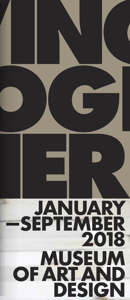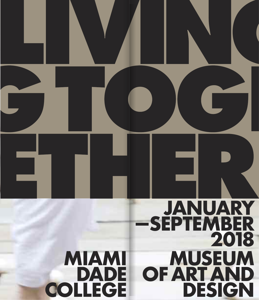# JANUARY -SEPTEMBER 2018 **MIAMI MUSEUM** OF ART AND DADE **COLLEGE** DESIGN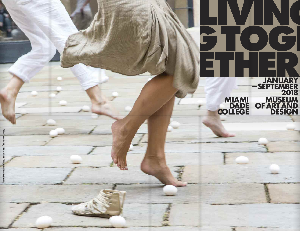# **M I A M I DAD E COL L EGE**

 $\sum_{i=1}^{n}$ 

 $\overline{\mathbf{A}}$ 

PTOC

ET HE

# **MUSEUM O F A RT A N D D E S I G N J A N U A RY — S EPT E M B E R 2018**